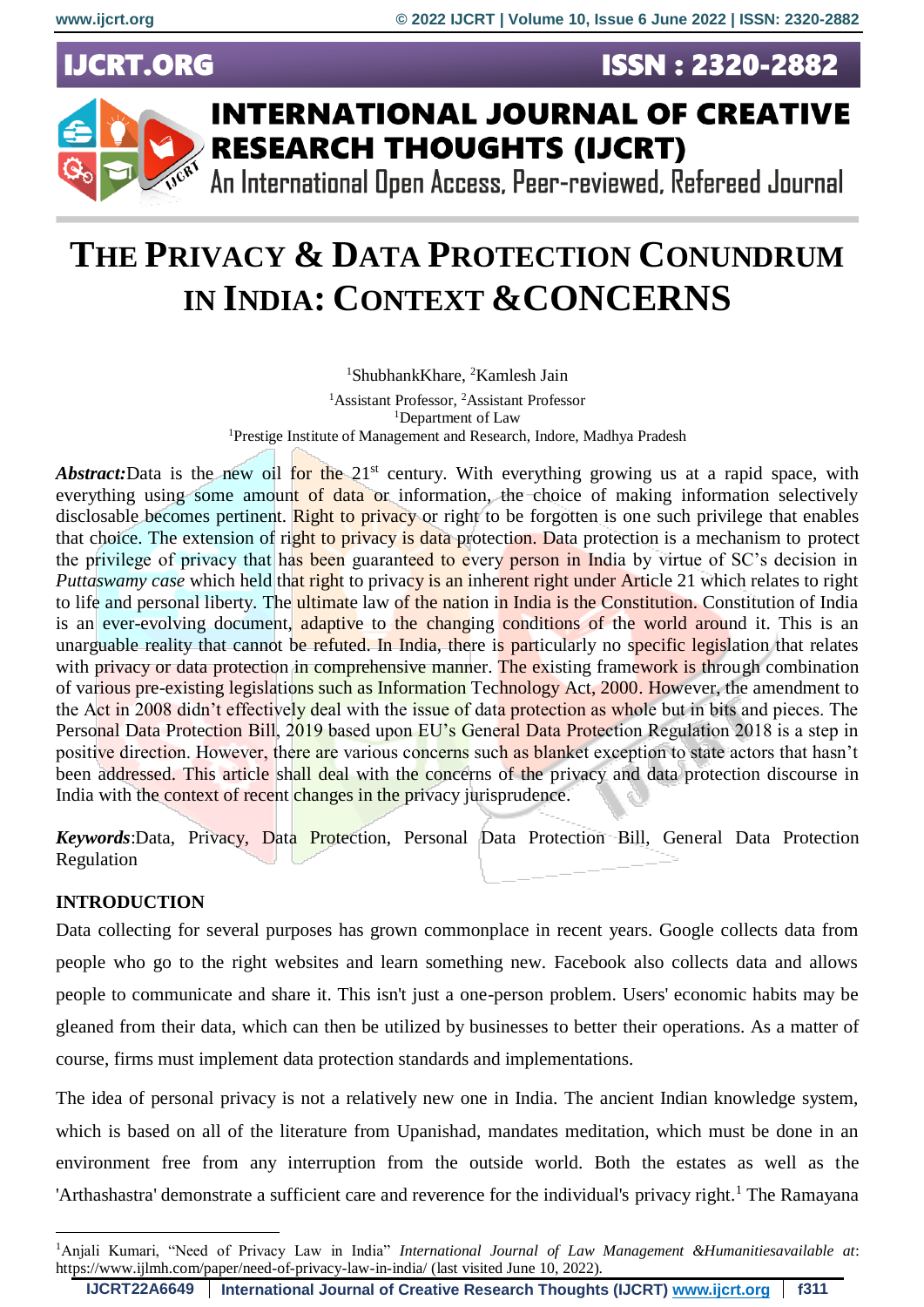**UCRT.ORG** 





## **INTERNATIONAL JOURNAL OF CREATIVE RESEARCH THOUGHTS (IJCRT)**

An International Open Access, Peer-reviewed, Refereed Journal

# **THE PRIVACY & DATA PROTECTION CONUNDRUM IN INDIA: CONTEXT &CONCERNS**

<sup>1</sup>ShubhankKhare, <sup>2</sup>Kamlesh Jain

<sup>1</sup>Assistant Professor, <sup>2</sup>Assistant Professor <sup>1</sup>Department of Law <sup>1</sup>Prestige Institute of Management and Research, Indore, Madhya Pradesh

*Abstract:*Data is the new oil for the 21<sup>st</sup> century. With everything growing us at a rapid space, with everything using some amount of data or information, the choice of making information selectively disclosable becomes pertinent. Right to privacy or right to be forgotten is one such privilege that enables that choice. The extension of right to privacy is data protection. Data protection is a mechanism to protect the privilege of privacy that has been guaranteed to every person in India by virtue of SC's decision in *Puttaswamy case* which held that right to privacy is an inherent right under Article 21 which relates to right to life and personal liberty. The ultimate law of the nation in India is the Constitution. Constitution of India is an ever-evolving document, adaptive to the changing conditions of the world around it. This is an unarguable reality that cannot be refuted. In India, there is particularly no specific legislation that relates with privacy or data protection in comprehensive manner. The existing framework is through combination of various pre-existing legislations such as Information Technology Act, 2000. However, the amendment to the Act in 2008 didn't effectively deal with the issue of data protection as whole but in bits and pieces. The Personal Data Protection Bill, 2019 based upon EU's General Data Protection Regulation 2018 is a step in positive direction. However, there are various concerns such as blanket exception to state actors that hasn't been addressed. This article shall deal with the concerns of the privacy and data protection discourse in India with the context of recent changes in the privacy jurisprudence.

*Keywords*:Data, Privacy, Data Protection, Personal Data Protection Bill, General Data Protection Regulation

#### **INTRODUCTION**

Data collecting for several purposes has grown commonplace in recent years. Google collects data from people who go to the right websites and learn something new. Facebook also collects data and allows people to communicate and share it. This isn't just a one-person problem. Users' economic habits may be gleaned from their data, which can then be utilized by businesses to better their operations. As a matter of course, firms must implement data protection standards and implementations.

The idea of personal privacy is not a relatively new one in India. The ancient Indian knowledge system, which is based on all of the literature from Upanishad, mandates meditation, which must be done in an environment free from any interruption from the outside world. Both the estates as well as the 'Arthashastra' demonstrate a sufficient care and reverence for the individual's privacy right.<sup>1</sup> The Ramayana

<sup>&</sup>lt;u>.</u> <sup>1</sup>Anjali Kumari, "Need of Privacy Law in India" *International Journal of Law Management &Humanitiesavailable at*: https://www.ijlmh.com/paper/need-of-privacy-law-in-india/ (last visited June 10, 2022).

**IJCRT22A6649 International Journal of Creative Research Thoughts (IJCRT) [www.ijcrt.org](http://www.ijcrt.org/) f311**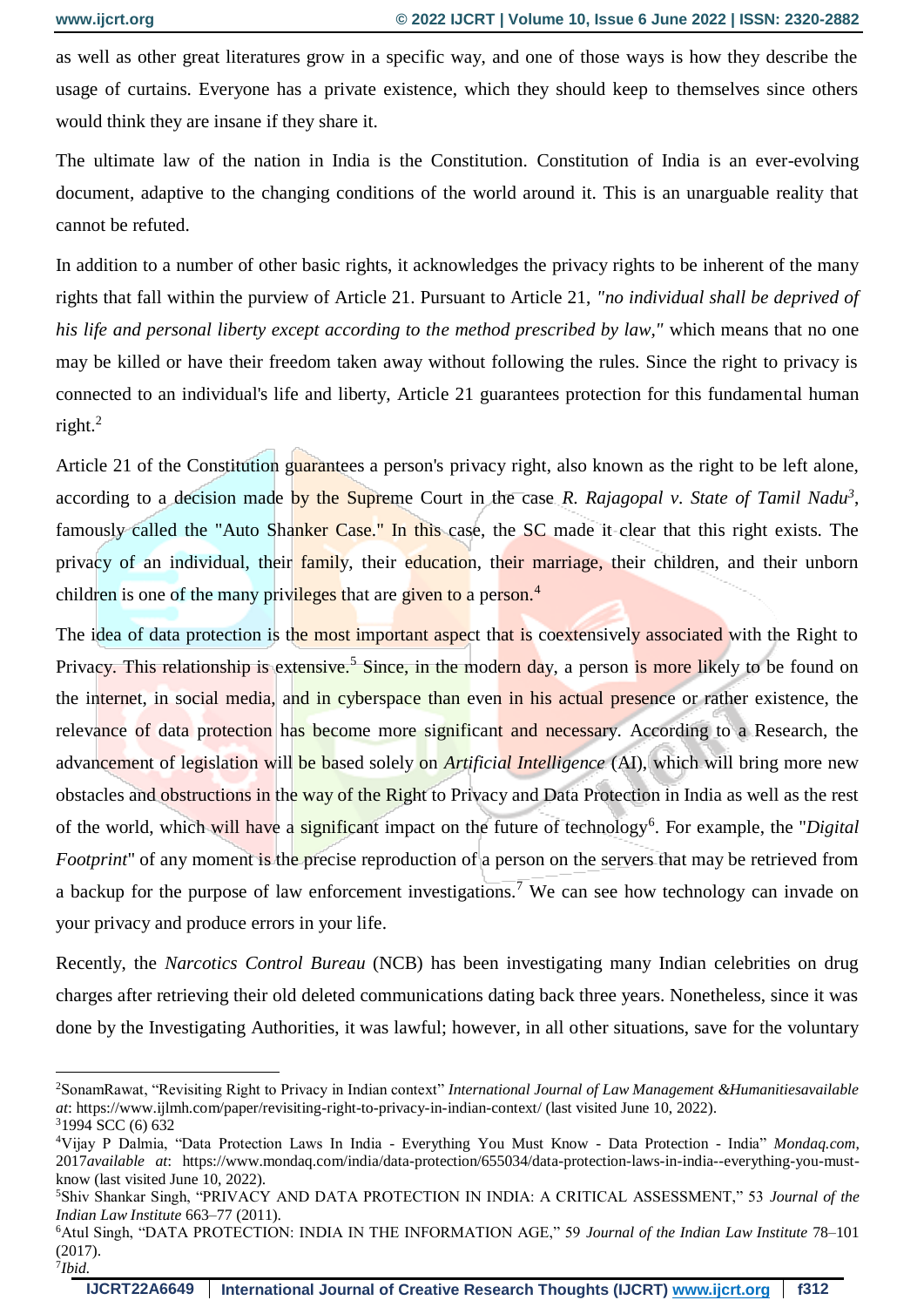<u>.</u>

as well as other great literatures grow in a specific way, and one of those ways is how they describe the usage of curtains. Everyone has a private existence, which they should keep to themselves since others would think they are insane if they share it.

The ultimate law of the nation in India is the Constitution. Constitution of India is an ever-evolving document, adaptive to the changing conditions of the world around it. This is an unarguable reality that cannot be refuted.

In addition to a number of other basic rights, it acknowledges the privacy rights to be inherent of the many rights that fall within the purview of Article 21. Pursuant to Article 21, *"no individual shall be deprived of his life and personal liberty except according to the method prescribed by law,"* which means that no one may be killed or have their freedom taken away without following the rules. Since the right to privacy is connected to an individual's life and liberty, Article 21 guarantees protection for this fundamental human right. $^{2}$ 

Article 21 of the Constitution guarantees a person's privacy right, also known as the right to be left alone, according to a decision made by the Supreme Court in the case *R. Rajagopal v. State of Tamil Nadu<sup>3</sup>*, famously called the "Auto Shanker Case." In this case, the SC made it clear that this right exists. The privacy of an individual, their family, their education, their marriage, their children, and their unborn children is one of the many privileges that are given to a person.<sup>4</sup>

The idea of data protection is the most important aspect that is coextensively associated with the Right to Privacy. This relationship is extensive.<sup>5</sup> Since, in the modern day, a person is more likely to be found on the internet, in social media, and in cyberspace than even in his actual presence or rather existence, the relevance of data protection has become more significant and necessary. According to a Research, the advancement of legislation will be based solely on *Artificial Intelligence* (AI), which will bring more new obstacles and obstructions in the way of the Right to Privacy and Data Protection in India as well as the rest of the world, which will have a significant impact on the future of technology<sup>6</sup>. For example, the "*Digital Footprint*" of any moment is the precise reproduction of a person on the servers that may be retrieved from a backup for the purpose of law enforcement investigations.<sup>7</sup> We can see how technology can invade on your privacy and produce errors in your life.

Recently, the *Narcotics Control Bureau* (NCB) has been investigating many Indian celebrities on drug charges after retrieving their old deleted communications dating back three years. Nonetheless, since it was done by the Investigating Authorities, it was lawful; however, in all other situations, save for the voluntary

<sup>2</sup>SonamRawat, "Revisiting Right to Privacy in Indian context" *International Journal of Law Management &Humanitiesavailable at*: https://www.ijlmh.com/paper/revisiting-right-to-privacy-in-indian-context/ (last visited June 10, 2022). <sup>3</sup>1994 SCC (6) 632

<sup>4</sup>Vijay P Dalmia, "Data Protection Laws In India - Everything You Must Know - Data Protection - India" *Mondaq.com*, 2017*available at*: https://www.mondaq.com/india/data-protection/655034/data-protection-laws-in-india--everything-you-mustknow (last visited June 10, 2022).

<sup>5</sup>Shiv Shankar Singh, "PRIVACY AND DATA PROTECTION IN INDIA: A CRITICAL ASSESSMENT," 53 *Journal of the Indian Law Institute* 663–77 (2011).

<sup>6</sup>Atul Singh, "DATA PROTECTION: INDIA IN THE INFORMATION AGE," 59 *Journal of the Indian Law Institute* 78–101 (2017). 7 *Ibid.*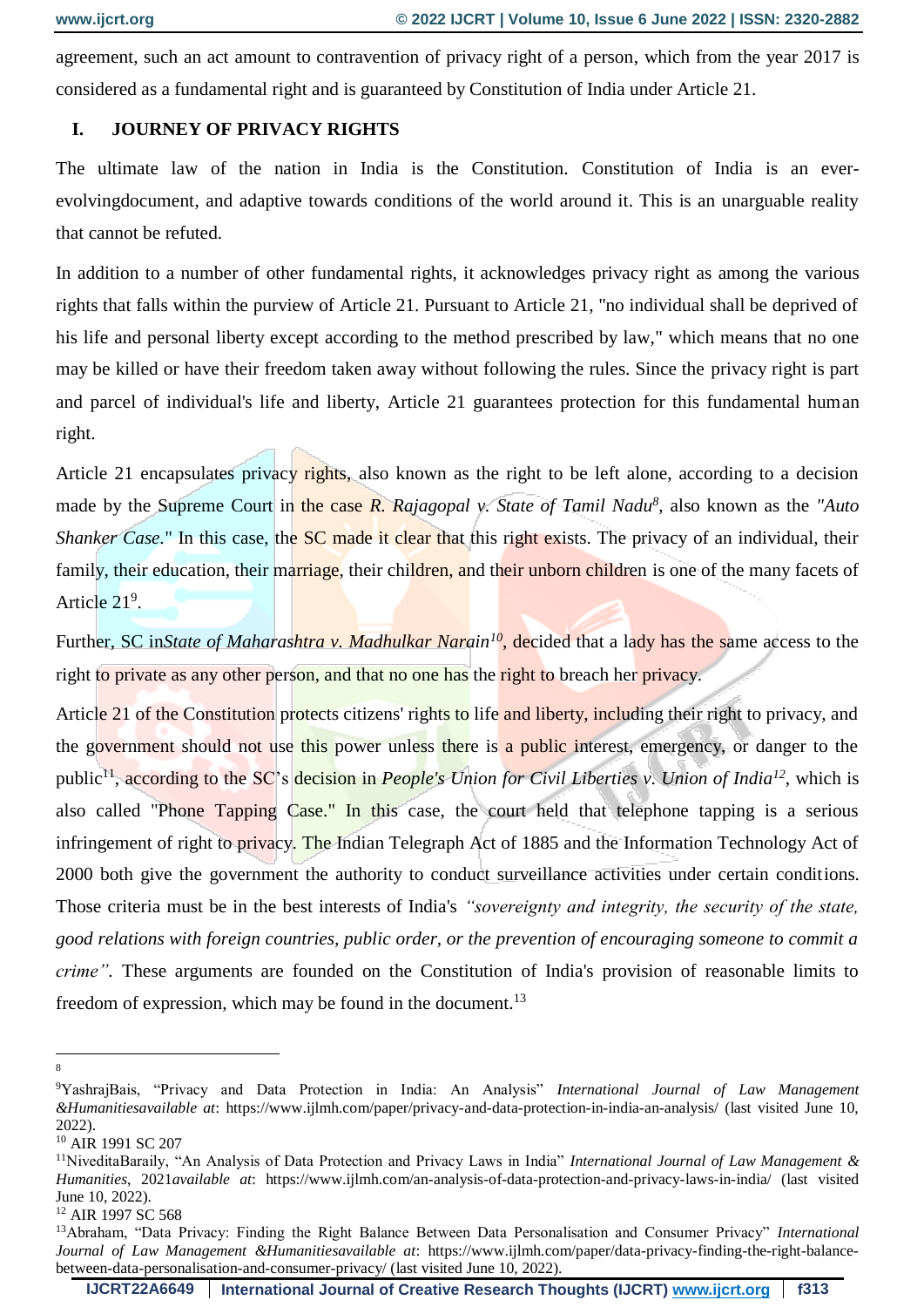agreement, such an act amount to contravention of privacy right of a person, which from the year 2017 is considered as a fundamental right and is guaranteed by Constitution of India under Article 21.

#### **I. JOURNEY OF PRIVACY RIGHTS**

The ultimate law of the nation in India is the Constitution. Constitution of India is an everevolvingdocument, and adaptive towards conditions of the world around it. This is an unarguable reality that cannot be refuted.

In addition to a number of other fundamental rights, it acknowledges privacy right as among the various rights that falls within the purview of Article 21. Pursuant to Article 21, "no individual shall be deprived of his life and personal liberty except according to the method prescribed by law," which means that no one may be killed or have their freedom taken away without following the rules. Since the privacy right is part and parcel of individual's life and liberty, Article 21 guarantees protection for this fundamental human right.

Article 21 encapsulates privacy rights, also known as the right to be left alone, according to a decision made by the Supreme Court in the case *R. Rajagopal v. State of Tamil Nadu<sup>8</sup>* , also known as the *"Auto Shanker Case.*" In this case, the **SC** made it clear that this right exists. The privacy of an individual, their family, their education, their marriage, their children, and their unborn children is one of the many facets of Article 21<sup>9</sup>.

Further, SC in*State of Maharashtra v. Madhulkar Narain<sup>10</sup>*, decided that a lady has the same access to the right to private as any other person, and that no one has the right to breach her privacy.

Article 21 of the Constitution protects citizens' rights to life and liberty, including their right to privacy, and the government should not use this power unless there is a public interest, emergency, or danger to the public<sup>11</sup>, according to the SC's decision in *People's Union for Civil Liberties v. Union of India*<sup>12</sup>, which is also called "Phone Tapping Case." In this case, the court held that telephone tapping is a serious infringement of right to privacy. The Indian Telegraph Act of 1885 and the Information Technology Act of 2000 both give the government the authority to conduct surveillance activities under certain conditions. Those criteria must be in the best interests of India's *"sovereignty and integrity, the security of the state, good relations with foreign countries, public order, or the prevention of encouraging someone to commit a crime"*. These arguments are founded on the Constitution of India's provision of reasonable limits to freedom of expression, which may be found in the document.<sup>13</sup>

<sup>&</sup>lt;u>.</u> 8

<sup>9</sup>YashrajBais, "Privacy and Data Protection in India: An Analysis" *International Journal of Law Management &Humanitiesavailable at*: https://www.ijlmh.com/paper/privacy-and-data-protection-in-india-an-analysis/ (last visited June 10, 2022).

<sup>10</sup> AIR 1991 SC 207

<sup>11</sup>NiveditaBaraily, "An Analysis of Data Protection and Privacy Laws in India" *International Journal of Law Management & Humanities*, 2021*available at*: https://www.ijlmh.com/an-analysis-of-data-protection-and-privacy-laws-in-india/ (last visited June 10, 2022).

<sup>&</sup>lt;sup>12</sup> AIR 1997 SC 568

<sup>13</sup>Abraham, "Data Privacy: Finding the Right Balance Between Data Personalisation and Consumer Privacy" *International Journal of Law Management &Humanitiesavailable at*: https://www.ijlmh.com/paper/data-privacy-finding-the-right-balancebetween-data-personalisation-and-consumer-privacy/ (last visited June 10, 2022).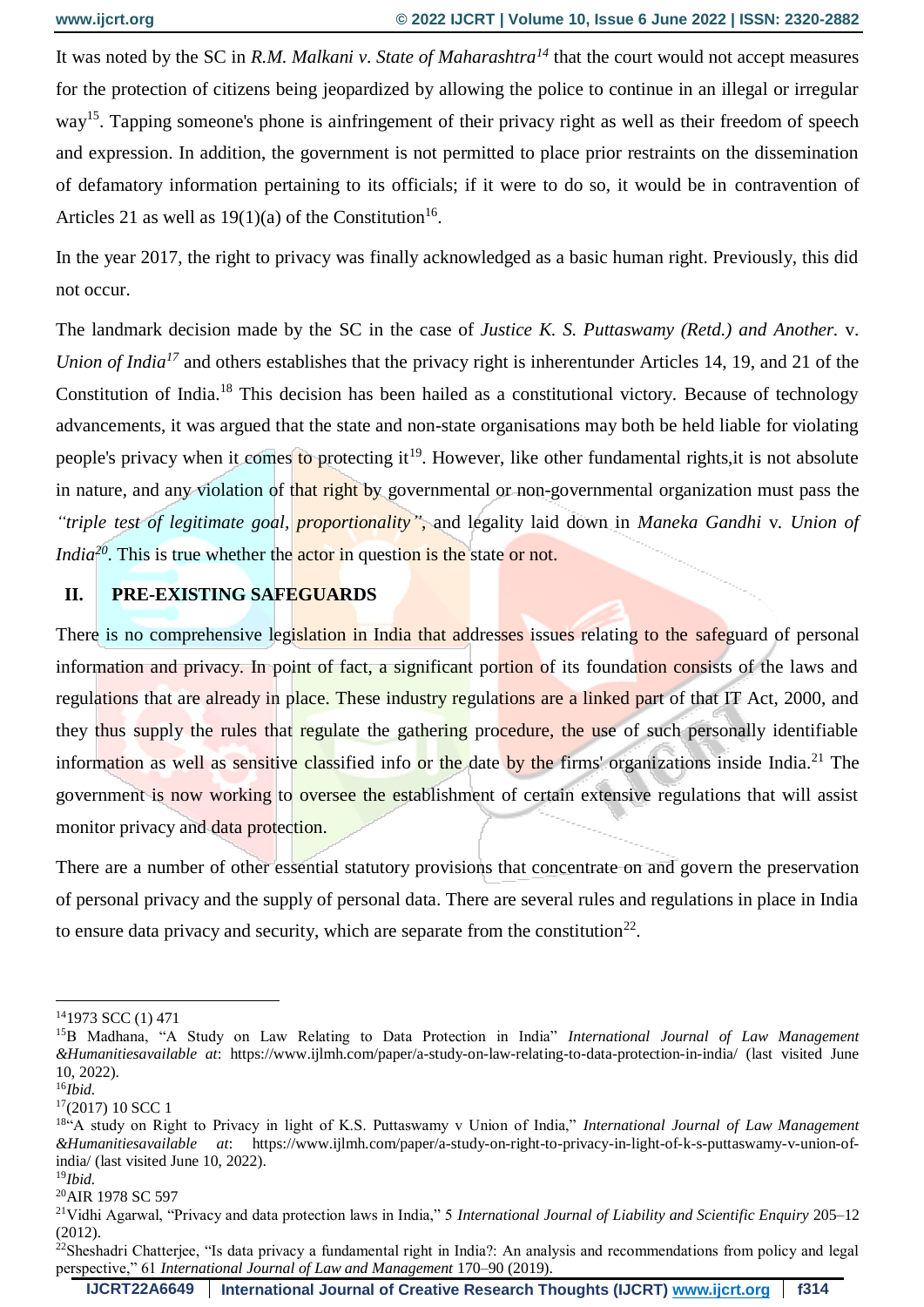It was noted by the SC in *R.M. Malkani v. State of Maharashtra<sup>14</sup>* that the court would not accept measures for the protection of citizens being jeopardized by allowing the police to continue in an illegal or irregular way<sup>15</sup>. Tapping someone's phone is ainfringement of their privacy right as well as their freedom of speech and expression. In addition, the government is not permitted to place prior restraints on the dissemination of defamatory information pertaining to its officials; if it were to do so, it would be in contravention of Articles 21 as well as  $19(1)(a)$  of the Constitution<sup>16</sup>.

In the year 2017, the right to privacy was finally acknowledged as a basic human right. Previously, this did not occur.

The landmark decision made by the SC in the case of *Justice K. S. Puttaswamy (Retd.) and Another.* v. *Union of India<sup>17</sup>* and others establishes that the privacy right is inherentunder Articles 14, 19, and 21 of the Constitution of India.<sup>18</sup> This decision has been hailed as a constitutional victory. Because of technology advancements, it was argued that the state and non-state organisations may both be held liable for violating people's privacy when it comes to protecting it<sup>19</sup>. However, like other fundamental rights, it is not absolute in nature, and any violation of that right by governmental or non-governmental organization must pass the *"triple test of legitimate goal, proportionality"*, and legality laid down in *Maneka Gandhi* v*. Union of India*<sup>20</sup>. This is true whether the **actor** in question is the state or not.

#### **II. PRE-EXISTING SAFEGUARDS**

There is no comprehensive legislation in India that addresses issues relating to the safeguard of personal information and privacy. In point of fact, a significant portion of its foundation consists of the laws and regulations that are already in place. These industry regulations are a linked part of that IT Act, 2000, and they thus supply the rules that regulate the gathering procedure, the use of such personally identifiable information as well as sensitive classified info or the date by the firms' organizations inside India.<sup>21</sup> The government is now working to oversee the establishment of certain extensive regulations that will assist monitor privacy and data protection.

There are a number of other essential statutory provisions that concentrate on and govern the preservation of personal privacy and the supply of personal data. There are several rules and regulations in place in India to ensure data privacy and security, which are separate from the constitution<sup>22</sup>.

1

<sup>14</sup>1973 SCC (1) 471

<sup>15</sup>B Madhana, "A Study on Law Relating to Data Protection in India" *International Journal of Law Management &Humanitiesavailable at*: https://www.ijlmh.com/paper/a-study-on-law-relating-to-data-protection-in-india/ (last visited June 10, 2022).

<sup>16</sup>*Ibid.*

 $17(2017)$  10 SCC 1

<sup>18</sup>"A study on Right to Privacy in light of K.S. Puttaswamy v Union of India," *International Journal of Law Management &Humanitiesavailable at*: https://www.ijlmh.com/paper/a-study-on-right-to-privacy-in-light-of-k-s-puttaswamy-v-union-ofindia/ (last visited June 10, 2022).

<sup>19</sup>*Ibid.*

<sup>20</sup>AIR 1978 SC 597

<sup>21</sup>Vidhi Agarwal, "Privacy and data protection laws in India," 5 *International Journal of Liability and Scientific Enquiry* 205–12 (2012).

<sup>&</sup>lt;sup>22</sup>Sheshadri Chatterjee, "Is data privacy a fundamental right in India?: An analysis and recommendations from policy and legal perspective," 61 *International Journal of Law and Management* 170–90 (2019).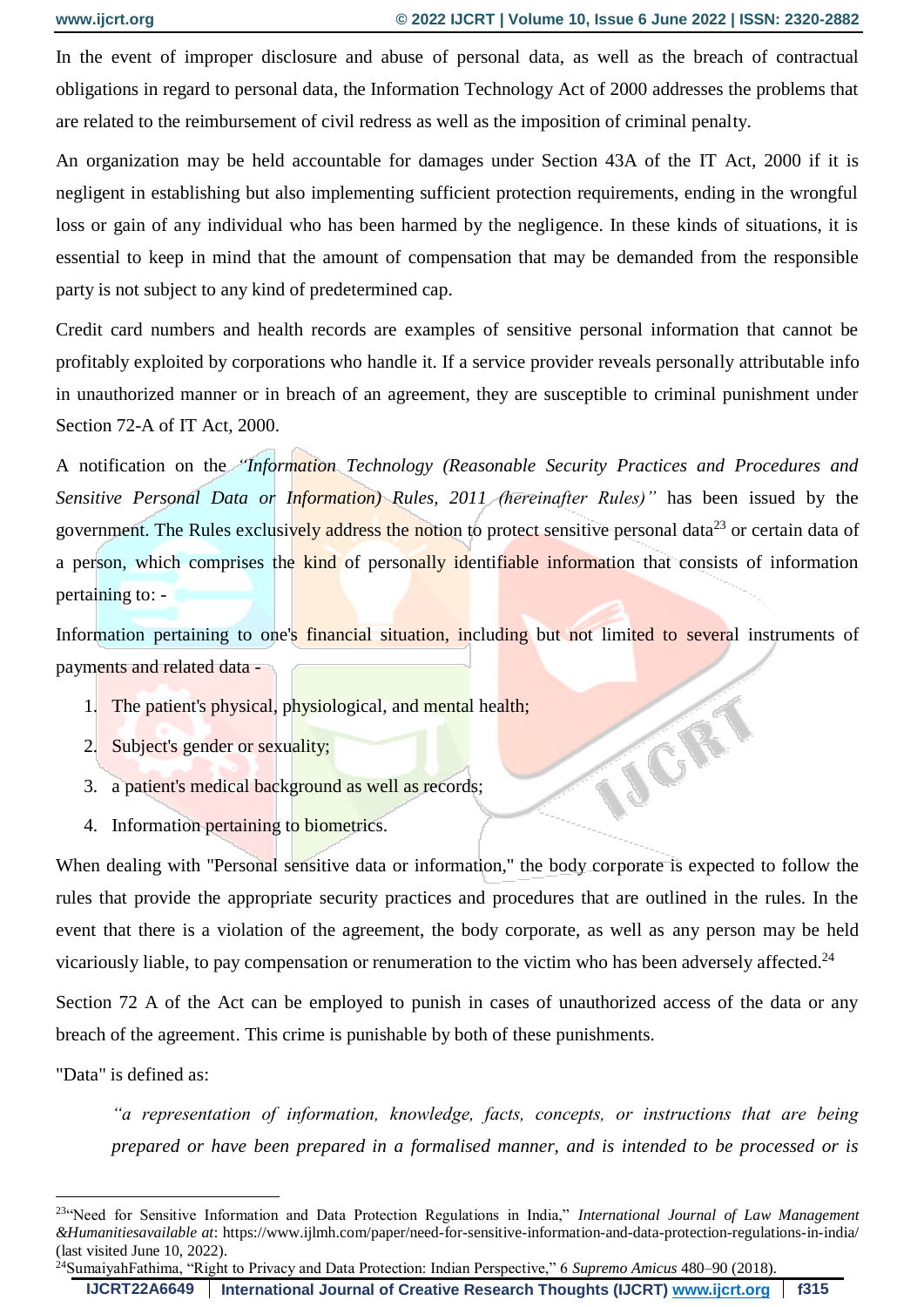VOR

In the event of improper disclosure and abuse of personal data, as well as the breach of contractual obligations in regard to personal data, the Information Technology Act of 2000 addresses the problems that are related to the reimbursement of civil redress as well as the imposition of criminal penalty.

An organization may be held accountable for damages under Section 43A of the IT Act, 2000 if it is negligent in establishing but also implementing sufficient protection requirements, ending in the wrongful loss or gain of any individual who has been harmed by the negligence. In these kinds of situations, it is essential to keep in mind that the amount of compensation that may be demanded from the responsible party is not subject to any kind of predetermined cap.

Credit card numbers and health records are examples of sensitive personal information that cannot be profitably exploited by corporations who handle it. If a service provider reveals personally attributable info in unauthorized manner or in breach of an agreement, they are susceptible to criminal punishment under Section 72-A of IT Act, 2000.

A notification on the *"Information Technology (Reasonable Security Practices and Procedures and Sensitive Personal Data or Information) Rules, 2011 (hereinafter Rules)"* has been issued by the government. The Rules exclusively address the notion to protect sensitive personal data<sup>23</sup> or certain data of a person, which comprises the kind of personally identifiable information that consists of information pertaining to: -

Information pertaining to one's financial situation, including but not limited to several instruments of payments and related data -

- 1. The patient's physical, physiological, and mental health;
- 2. Subject's gender or sexuality;
- 3. a patient's medical background as well as records;
- 4. Information pertaining to biometrics.

When dealing with "Personal sensitive data or information," the body corporate is expected to follow the rules that provide the appropriate security practices and procedures that are outlined in the rules. In the event that there is a violation of the agreement, the body corporate, as well as any person may be held vicariously liable, to pay compensation or renumeration to the victim who has been adversely affected.<sup>24</sup>

Section 72 A of the Act can be employed to punish in cases of unauthorized access of the data or any breach of the agreement. This crime is punishable by both of these punishments.

"Data" is defined as:

1

*"a representation of information, knowledge, facts, concepts, or instructions that are being prepared or have been prepared in a formalised manner, and is intended to be processed or is* 

**IJCRT22A6649 International Journal of Creative Research Thoughts (IJCRT) [www.ijcrt.org](http://www.ijcrt.org/) f315**

<sup>23</sup>"Need for Sensitive Information and Data Protection Regulations in India," *International Journal of Law Management &Humanitiesavailable at*: https://www.ijlmh.com/paper/need-for-sensitive-information-and-data-protection-regulations-in-india/ (last visited June 10, 2022).

<sup>24</sup>SumaiyahFathima, "Right to Privacy and Data Protection: Indian Perspective," 6 *Supremo Amicus* 480–90 (2018).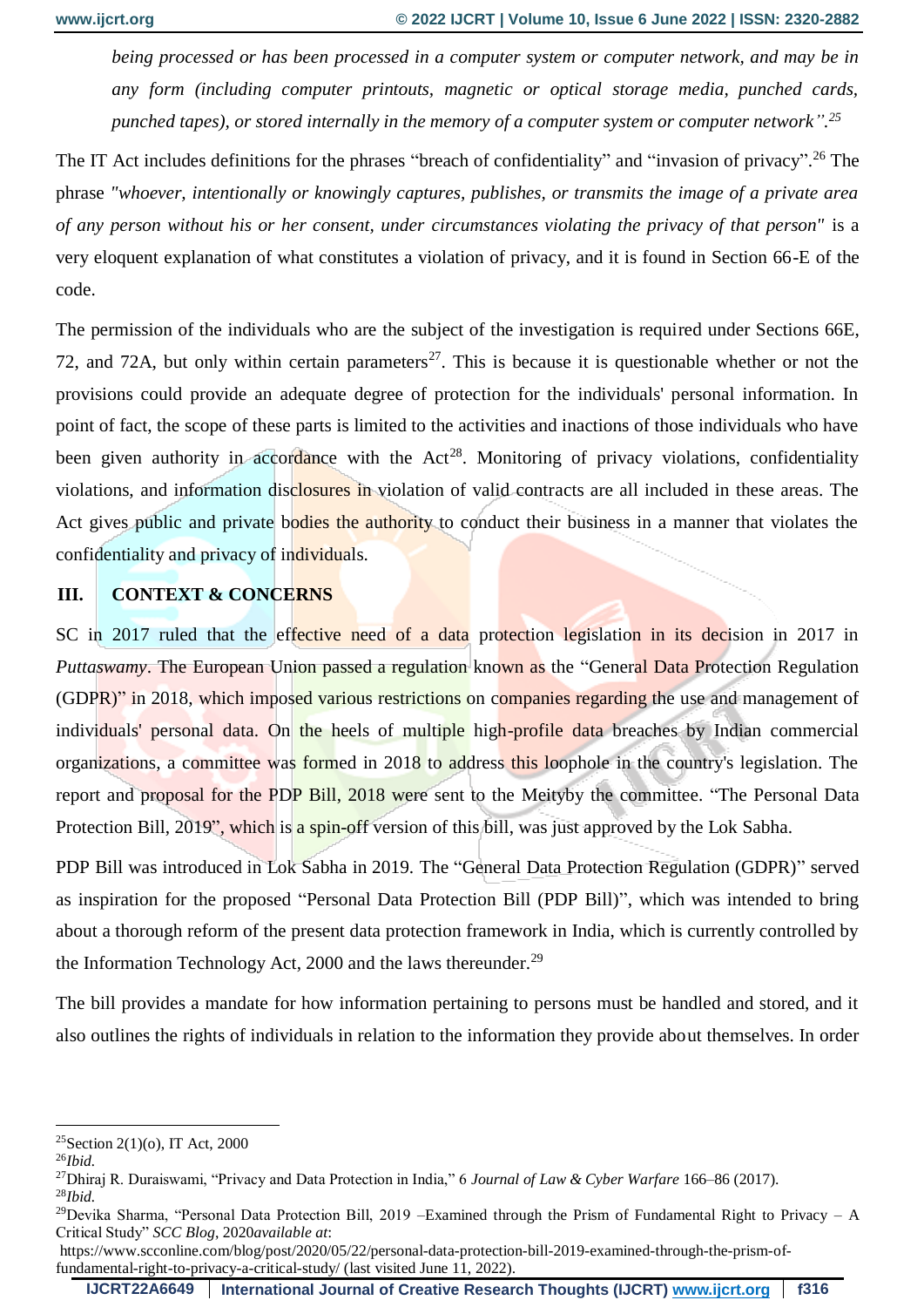*being processed or has been processed in a computer system or computer network, and may be in any form (including computer printouts, magnetic or optical storage media, punched cards, punched tapes), or stored internally in the memory of a computer system or computer network". 25*

The IT Act includes definitions for the phrases "breach of confidentiality" and "invasion of privacy".<sup>26</sup> The phrase *"whoever, intentionally or knowingly captures, publishes, or transmits the image of a private area of any person without his or her consent, under circumstances violating the privacy of that person"* is a very eloquent explanation of what constitutes a violation of privacy, and it is found in Section 66-E of the code.

The permission of the individuals who are the subject of the investigation is required under Sections 66E, 72, and 72A, but only within certain parameters<sup>27</sup>. This is because it is questionable whether or not the provisions could provide an adequate degree of protection for the individuals' personal information. In point of fact, the scope of these parts is limited to the activities and inactions of those individuals who have been given authority in accordance with the  $Act^{28}$ . Monitoring of privacy violations, confidentiality violations, and information disclosures in violation of valid contracts are all included in these areas. The Act gives public and private bodies the authority to conduct their business in a manner that violates the confidentiality and privacy of individuals.

### **III. CONTEXT & CONCERNS**

SC in 2017 ruled that the effective need of a data protection legislation in its decision in 2017 in *Puttaswamy*. The European Union passed a regulation known as the "General Data Protection Regulation (GDPR)" in 2018, which imposed various restrictions on companies regarding the use and management of individuals' personal data. On the heels of multiple high-profile data breaches by Indian commercial organizations, a committee was formed in 2018 to address this loophole in the country's legislation. The report and proposal for the PDP Bill, 2018 were sent to the Meityby the committee. "The Personal Data Protection Bill, 2019", which is a spin-off version of this bill, was just approved by the Lok Sabha.

PDP Bill was introduced in Lok Sabha in 2019. The "General Data Protection Regulation (GDPR)" served as inspiration for the proposed "Personal Data Protection Bill (PDP Bill)", which was intended to bring about a thorough reform of the present data protection framework in India, which is currently controlled by the Information Technology Act, 2000 and the laws thereunder.<sup>29</sup>

The bill provides a mandate for how information pertaining to persons must be handled and stored, and it also outlines the rights of individuals in relation to the information they provide about themselves. In order

<u>.</u>

<sup>25</sup>Section 2(1)(o), IT Act, 2000

<sup>26</sup>*Ibid.*

<sup>27</sup>Dhiraj R. Duraiswami, "Privacy and Data Protection in India," 6 *Journal of Law & Cyber Warfare* 166–86 (2017). <sup>28</sup>*Ibid.*

<sup>&</sup>lt;sup>29</sup>Devika Sharma, "Personal Data Protection Bill, 2019 –Examined through the Prism of Fundamental Right to Privacy – A Critical Study" *SCC Blog*, 2020*available at*:

https://www.scconline.com/blog/post/2020/05/22/personal-data-protection-bill-2019-examined-through-the-prism-offundamental-right-to-privacy-a-critical-study/ (last visited June 11, 2022).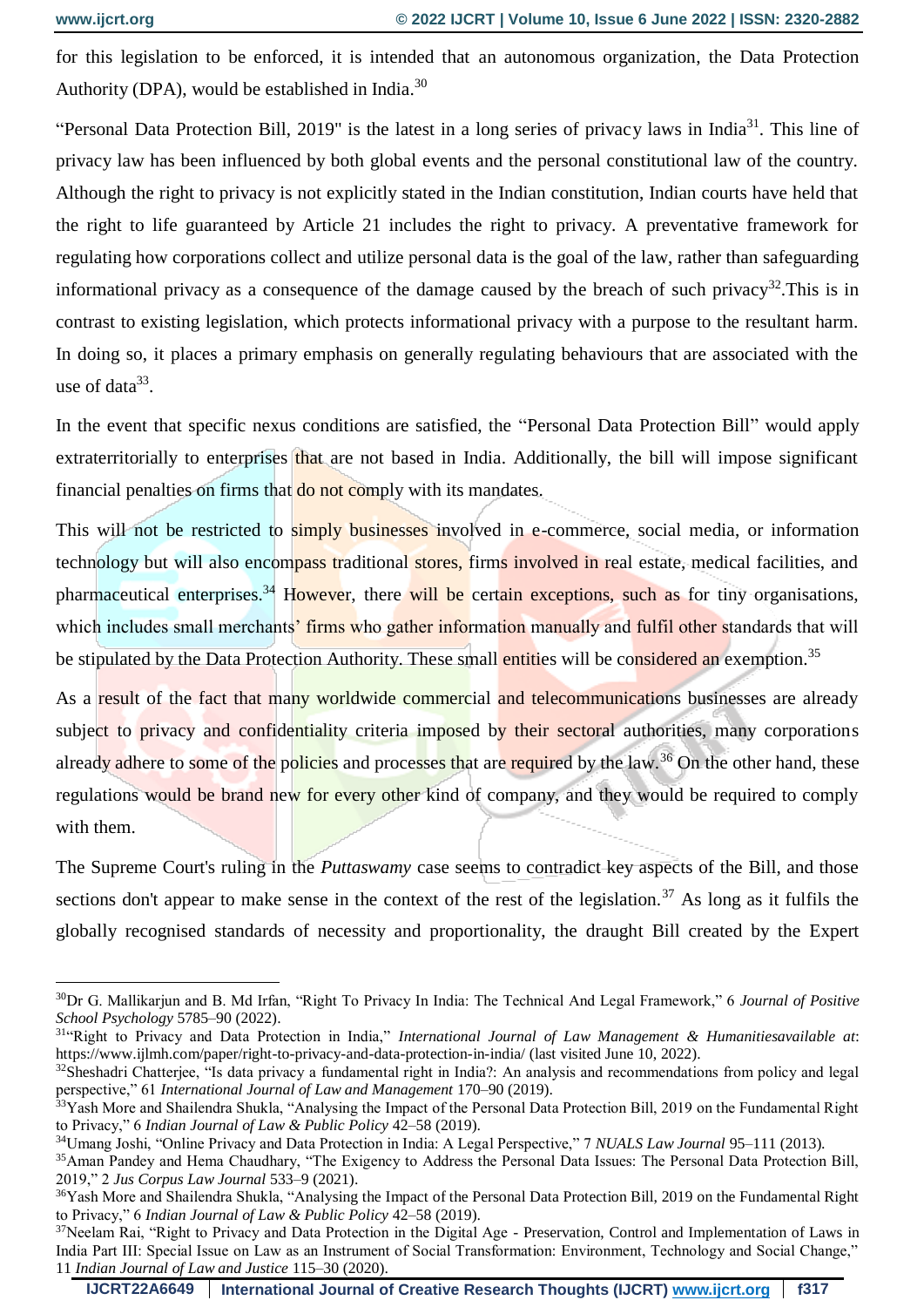1

for this legislation to be enforced, it is intended that an autonomous organization, the Data Protection Authority (DPA), would be established in India.<sup>30</sup>

"Personal Data Protection Bill, 2019" is the latest in a long series of privacy laws in India<sup>31</sup>. This line of privacy law has been influenced by both global events and the personal constitutional law of the country. Although the right to privacy is not explicitly stated in the Indian constitution, Indian courts have held that the right to life guaranteed by Article 21 includes the right to privacy. A preventative framework for regulating how corporations collect and utilize personal data is the goal of the law, rather than safeguarding informational privacy as a consequence of the damage caused by the breach of such privacy<sup>32</sup>. This is in contrast to existing legislation, which protects informational privacy with a purpose to the resultant harm. In doing so, it places a primary emphasis on generally regulating behaviours that are associated with the use of data $33$ .

In the event that specific nexus conditions are satisfied, the "Personal Data Protection Bill" would apply extraterritorially to enterprises that are not based in India. Additionally, the bill will impose significant financial penalties on firms that do not comply with its mandates.

This will not be restricted to simply businesses involved in e-commerce, social media, or information technology but will also encompass traditional stores, firms involved in real estate, medical facilities, and pharmaceutical enterprises.<sup>34</sup> However, there will be certain exceptions, such as for tiny organisations, which includes small merchants' firms who gather information manually and fulfil other standards that will be stipulated by the Data Protection Authority. These small entities will be considered an exemption.<sup>35</sup>

As a result of the fact that many worldwide commercial and telecommunications businesses are already subject to privacy and confidentiality criteria imposed by their sectoral authorities, many corporations already adhere to some of the policies and processes that are required by the law.<sup>36</sup> On the other hand, these regulations would be brand new for every other kind of company, and they would be required to comply with them.

The Supreme Court's ruling in the *Puttaswamy* case seems to contradict key aspects of the Bill, and those sections don't appear to make sense in the context of the rest of the legislation.<sup>37</sup> As long as it fulfils the globally recognised standards of necessity and proportionality, the draught Bill created by the Expert

<sup>30</sup>Dr G. Mallikarjun and B. Md Irfan, "Right To Privacy In India: The Technical And Legal Framework," 6 *Journal of Positive School Psychology* 5785–90 (2022).

<sup>&</sup>lt;sup>31</sup>"Right to Privacy and Data Protection in India," International Journal of Law Management & Humanitiesavailable at: https://www.ijlmh.com/paper/right-to-privacy-and-data-protection-in-india/ (last visited June 10, 2022).

<sup>&</sup>lt;sup>32</sup>Sheshadri Chatterjee, "Is data privacy a fundamental right in India?: An analysis and recommendations from policy and legal perspective," 61 *International Journal of Law and Management* 170–90 (2019).

<sup>&</sup>lt;sup>33</sup>Yash More and Shailendra Shukla, "Analysing the Impact of the Personal Data Protection Bill, 2019 on the Fundamental Right to Privacy," 6 *Indian Journal of Law & Public Policy* 42–58 (2019).

<sup>34</sup>Umang Joshi, "Online Privacy and Data Protection in India: A Legal Perspective," 7 *NUALS Law Journal* 95–111 (2013).

<sup>&</sup>lt;sup>35</sup>Aman Pandey and Hema Chaudhary, "The Exigency to Address the Personal Data Issues: The Personal Data Protection Bill, 2019," 2 *Jus Corpus Law Journal* 533–9 (2021).

<sup>&</sup>lt;sup>36</sup>Yash More and Shailendra Shukla, "Analysing the Impact of the Personal Data Protection Bill, 2019 on the Fundamental Right to Privacy," 6 *Indian Journal of Law & Public Policy* 42–58 (2019).

<sup>&</sup>lt;sup>37</sup>Neelam Rai, "Right to Privacy and Data Protection in the Digital Age - Preservation, Control and Implementation of Laws in India Part III: Special Issue on Law as an Instrument of Social Transformation: Environment, Technology and Social Change," 11 *Indian Journal of Law and Justice* 115–30 (2020).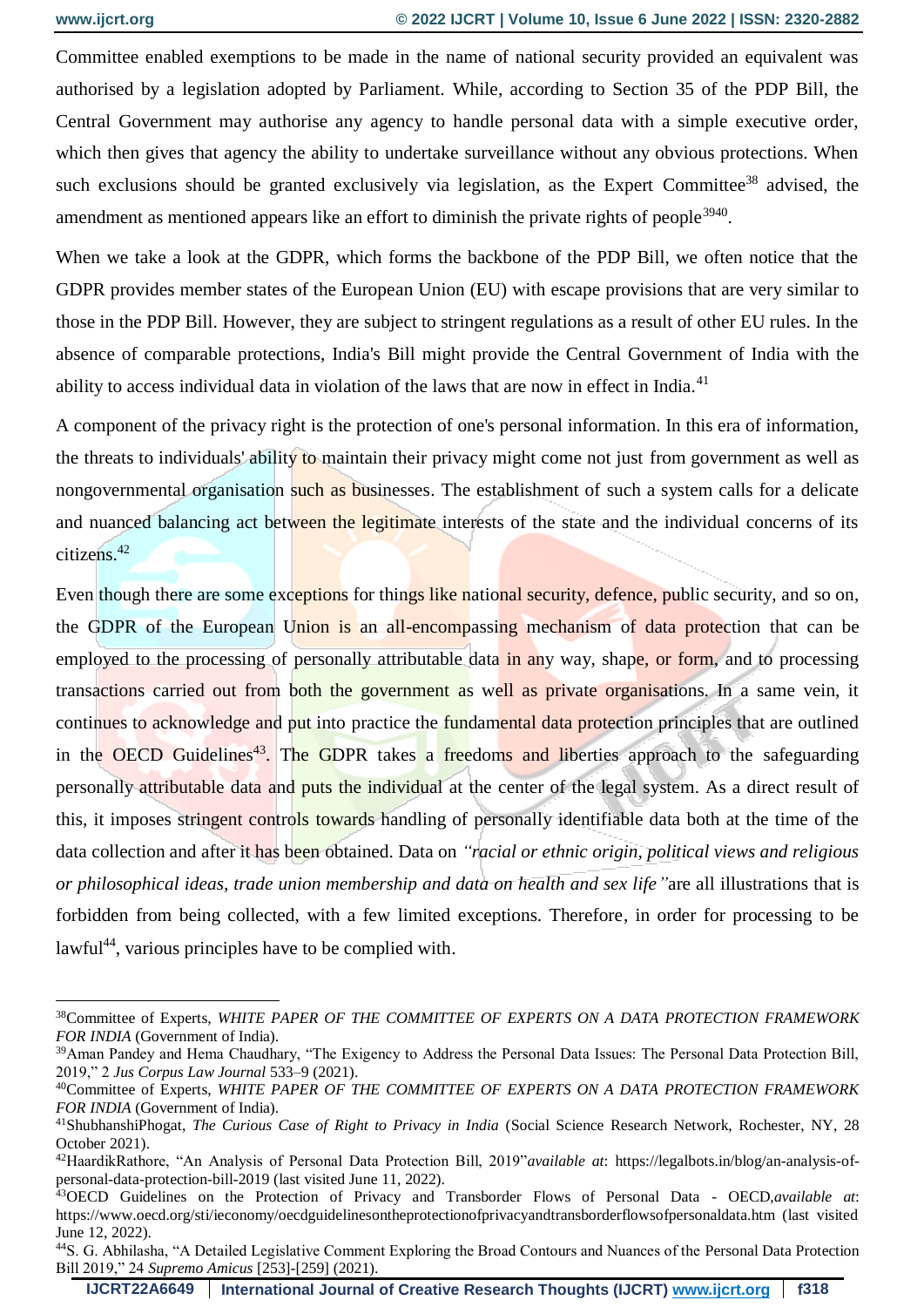1

Committee enabled exemptions to be made in the name of national security provided an equivalent was authorised by a legislation adopted by Parliament. While, according to Section 35 of the PDP Bill, the Central Government may authorise any agency to handle personal data with a simple executive order, which then gives that agency the ability to undertake surveillance without any obvious protections. When such exclusions should be granted exclusively via legislation, as the Expert Committee<sup>38</sup> advised, the amendment as mentioned appears like an effort to diminish the private rights of people<sup>3940</sup>.

When we take a look at the GDPR, which forms the backbone of the PDP Bill, we often notice that the GDPR provides member states of the European Union (EU) with escape provisions that are very similar to those in the PDP Bill. However, they are subject to stringent regulations as a result of other EU rules. In the absence of comparable protections, India's Bill might provide the Central Government of India with the ability to access individual data in violation of the laws that are now in effect in India.<sup>41</sup>

A component of the privacy right is the protection of one's personal information. In this era of information, the threats to individuals' ability to maintain their privacy might come not just from government as well as nongovernmental organisation such as businesses. The establishment of such a system calls for a delicate and nuanced balancing act between the legitimate interests of the state and the individual concerns of its citizens.<sup>42</sup>

Even though there are some exceptions for things like national security, defence, public security, and so on, the GDPR of the European Union is an all-encompassing mechanism of data protection that can be employed to the processing of personally attributable data in any way, shape, or form, and to processing transactions carried out from both the government as well as private organisations. In a same vein, it continues to acknowledge and put into practice the fundamental data protection principles that are outlined in the OECD Guidelines<sup>43</sup>. The GDPR takes a freedoms and liberties approach to the safeguarding personally attributable data and puts the individual at the center of the legal system. As a direct result of this, it imposes stringent controls towards handling of personally identifiable data both at the time of the data collection and after it has been obtained. Data on *"racial or ethnic origin, political views and religious or philosophical ideas, trade union membership and data on health and sex life"*are all illustrations that is forbidden from being collected, with a few limited exceptions. Therefore, in order for processing to be lawful<sup>44</sup>, various principles have to be complied with.

<sup>38</sup>Committee of Experts, *WHITE PAPER OF THE COMMITTEE OF EXPERTS ON A DATA PROTECTION FRAMEWORK FOR INDIA* (Government of India).

<sup>&</sup>lt;sup>39</sup>Aman Pandey and Hema Chaudhary, "The Exigency to Address the Personal Data Issues: The Personal Data Protection Bill, 2019," 2 *Jus Corpus Law Journal* 533–9 (2021).

<sup>40</sup>Committee of Experts, *WHITE PAPER OF THE COMMITTEE OF EXPERTS ON A DATA PROTECTION FRAMEWORK FOR INDIA* (Government of India).

<sup>41</sup>ShubhanshiPhogat, *The Curious Case of Right to Privacy in India* (Social Science Research Network, Rochester, NY, 28 October 2021).

<sup>42</sup>HaardikRathore, "An Analysis of Personal Data Protection Bill, 2019"*available at*: https://legalbots.in/blog/an-analysis-ofpersonal-data-protection-bill-2019 (last visited June 11, 2022).

<sup>43</sup>OECD Guidelines on the Protection of Privacy and Transborder Flows of Personal Data - OECD,*available at*: https://www.oecd.org/sti/ieconomy/oecdguidelinesontheprotectionofprivacyandtransborderflowsofpersonaldata.htm (last visited June 12, 2022).

<sup>44</sup>S. G. Abhilasha, "A Detailed Legislative Comment Exploring the Broad Contours and Nuances of the Personal Data Protection Bill 2019," 24 *Supremo Amicus* [253]-[259] (2021).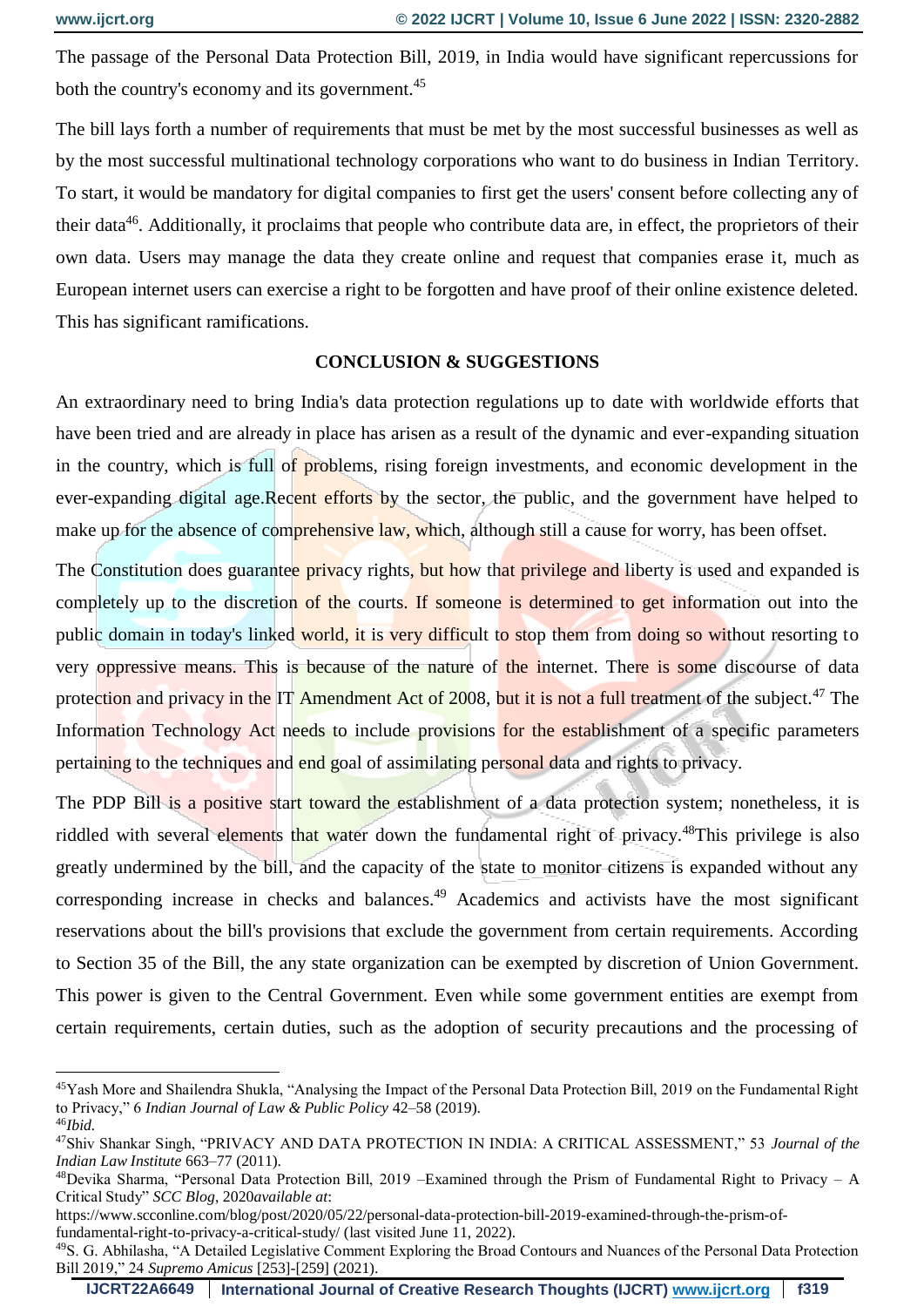<u>.</u>

The passage of the Personal Data Protection Bill, 2019, in India would have significant repercussions for both the country's economy and its government.<sup>45</sup>

The bill lays forth a number of requirements that must be met by the most successful businesses as well as by the most successful multinational technology corporations who want to do business in Indian Territory. To start, it would be mandatory for digital companies to first get the users' consent before collecting any of their data<sup>46</sup>. Additionally, it proclaims that people who contribute data are, in effect, the proprietors of their own data. Users may manage the data they create online and request that companies erase it, much as European internet users can exercise a right to be forgotten and have proof of their online existence deleted. This has significant ramifications.

#### **CONCLUSION & SUGGESTIONS**

An extraordinary need to bring India's data protection regulations up to date with worldwide efforts that have been tried and are already in place has arisen as a result of the dynamic and ever-expanding situation in the country, which is full of problems, rising foreign investments, and economic development in the ever-expanding digital age.Recent efforts by the sector, the public, and the government have helped to make up for the absence of comprehensive law, which, although still a cause for worry, has been offset.

The Constitution does guarantee privacy rights, but how that privilege and liberty is used and expanded is completely up to the discretion of the courts. If someone is determined to get information out into the public domain in today's linked world, it is very difficult to stop them from doing so without resorting to very oppressive means. This is because of the nature of the internet. There is some discourse of data protection and privacy in the IT Amendment Act of 2008, but it is not a full treatment of the subject.<sup>47</sup> The Information Technology Act needs to include provisions for the establishment of a specific parameters pertaining to the techniques and end goal of assimilating personal data and rights to privacy.

The PDP Bill is a positive start toward the establishment of a data protection system; nonetheless, it is riddled with several elements that water down the fundamental right of privacy.<sup>48</sup>This privilege is also greatly undermined by the bill, and the capacity of the state to monitor citizens is expanded without any corresponding increase in checks and balances.<sup>49</sup> Academics and activists have the most significant reservations about the bill's provisions that exclude the government from certain requirements. According to Section 35 of the Bill, the any state organization can be exempted by discretion of Union Government. This power is given to the Central Government. Even while some government entities are exempt from certain requirements, certain duties, such as the adoption of security precautions and the processing of

<sup>45</sup>Yash More and Shailendra Shukla, "Analysing the Impact of the Personal Data Protection Bill, 2019 on the Fundamental Right to Privacy," 6 *Indian Journal of Law & Public Policy* 42–58 (2019). <sup>46</sup>*Ibid.*

<sup>47</sup>Shiv Shankar Singh, "PRIVACY AND DATA PROTECTION IN INDIA: A CRITICAL ASSESSMENT," 53 *Journal of the Indian Law Institute* 663–77 (2011).

 $48$ Devika Sharma, "Personal Data Protection Bill, 2019 –Examined through the Prism of Fundamental Right to Privacy – A Critical Study" *SCC Blog*, 2020*available at*:

https://www.scconline.com/blog/post/2020/05/22/personal-data-protection-bill-2019-examined-through-the-prism-offundamental-right-to-privacy-a-critical-study/ (last visited June 11, 2022).

<sup>49</sup>S. G. Abhilasha, "A Detailed Legislative Comment Exploring the Broad Contours and Nuances of the Personal Data Protection Bill 2019," 24 *Supremo Amicus* [253]-[259] (2021).